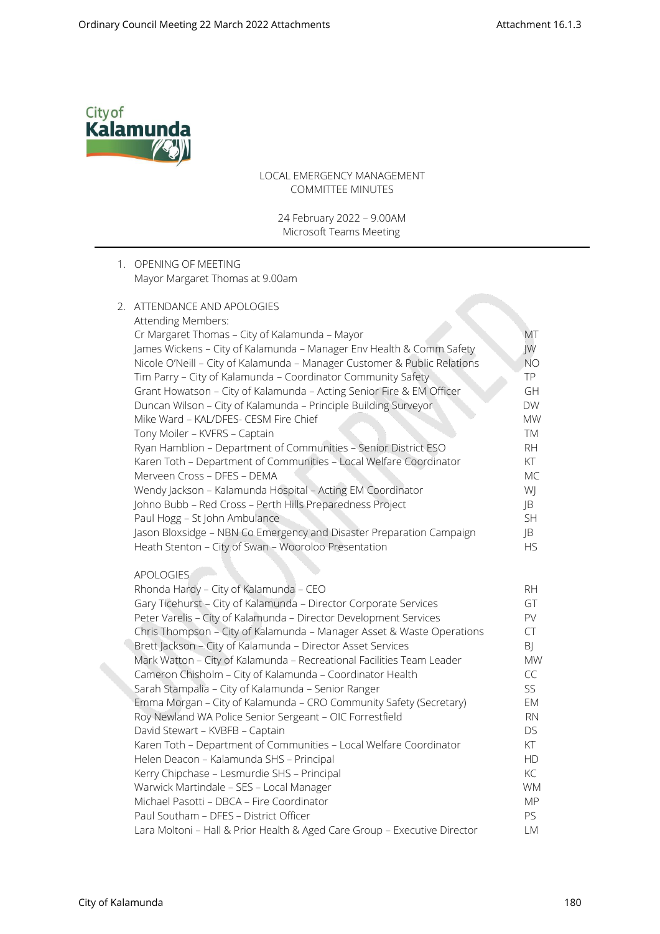

LOCAL EMERGENCY MANAGEMENT COMMITTEE MINUTES

24 February 2022 – 9.00AM Microsoft Teams Meeting

### 1. OPENING OF MEETING Mayor Margaret Thomas at 9.00am

## 2. ATTENDANCE AND APOLOGIES Attending Members: Cr Margaret Thomas – City of Kalamunda – Mayor MT James Wickens – City of Kalamunda – Manager Env Health & Comm Safety JW Nicole O'Neill - City of Kalamunda - Manager Customer & Public Relations NO Tim Parry – City of Kalamunda – Coordinator Community Safety TP Grant Howatson – City of Kalamunda – Acting Senior Fire & EM Officer GH Duncan Wilson – City of Kalamunda – Principle Building Surveyor DW Mike Ward – KAL/DFES- CESM Fire Chief MW Tony Moiler – KVFRS – Captain TM Ryan Hamblion – Department of Communities – Senior District ESO RH Karen Toth - Department of Communities - Local Welfare Coordinator KT Merveen Cross – DFES – DEMA MC Wendy Jackson – Kalamunda Hospital – Acting EM Coordinator WJ Johno Bubb – Red Cross – Perth Hills Preparedness Project JB Paul Hogg – St John Ambulance SH Jason Bloxsidge – NBN Co Emergency and Disaster Preparation Campaign JB Heath Stenton – City of Swan – Wooroloo Presentation HS APOLOGIES Rhonda Hardy – City of Kalamunda – CEO RHONDA RHONDA – RH Gary Ticehurst – City of Kalamunda – Director Corporate Services GT Peter Varelis - City of Kalamunda - Director Development Services PV Chris Thompson – City of Kalamunda – Manager Asset & Waste Operations CT Brett Jackson – City of Kalamunda – Director Asset Services and Books and BJ Mark Watton – City of Kalamunda – Recreational Facilities Team Leader MW Cameron Chisholm – City of Kalamunda – Coordinator Health CC Sarah Stampalia – City of Kalamunda – Senior Ranger SSS Emma Morgan – City of Kalamunda – CRO Community Safety (Secretary) EM Roy Newland WA Police Senior Sergeant - OIC Forrestfield RN David Stewart – KVBFB – Captain DS Karen Toth - Department of Communities - Local Welfare Coordinator KT Helen Deacon – Kalamunda SHS – Principal HD Kerry Chipchase – Lesmurdie SHS – Principal KC Warwick Martindale – SES – Local Manager WM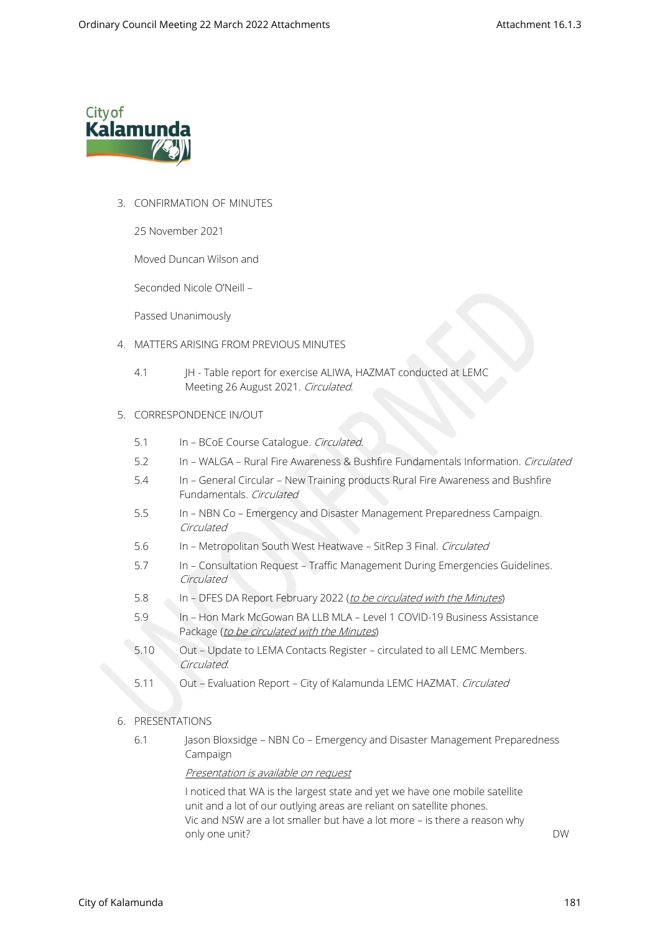

## 3. CONFIRMATION OF MINUTES

25 November 2021

Moved Duncan Wilson and

Seconded Nicole O'Neill –

Passed Unanimously

- 4. MATTERS ARISING FROM PREVIOUS MINUTES
	- 4.1 JH Table report for exercise ALIWA, HAZMAT conducted at LEMC Meeting 26 August 2021. Circulated.

### 5. CORRESPONDENCE IN/OUT

- 5.1 In BCoE Course Catalogue. Circulated.
- 5.2 In WALGA Rural Fire Awareness & Bushfire Fundamentals Information. Circulated
- 5.4 In General Circular New Training products Rural Fire Awareness and Bushfire Fundamentals. Circulated
- 5.5 In NBN Co Emergency and Disaster Management Preparedness Campaign. Circulated
- 5.6 In Metropolitan South West Heatwave SitRep 3 Final. Circulated
- 5.7 In Consultation Request Traffic Management During Emergencies Guidelines. Circulated
- 5.8 In DFES DA Report February 2022 (to be circulated with the Minutes)
- 5.9 In Hon Mark McGowan BA LLB MLA Level 1 COVID-19 Business Assistance Package (to be circulated with the Minutes)
- 5.10 Out Update to LEMA Contacts Register circulated to all LEMC Members. Circulated.
- 5.11 Out Evaluation Report City of Kalamunda LEMC HAZMAT. Circulated

### 6. PRESENTATIONS

6.1 Jason Bloxsidge – NBN Co – Emergency and Disaster Management Preparedness Campaign

#### Presentation is available on request

I noticed that WA is the largest state and yet we have one mobile satellite unit and a lot of our outlying areas are reliant on satellite phones. Vic and NSW are a lot smaller but have a lot more – is there a reason why only one unit? DW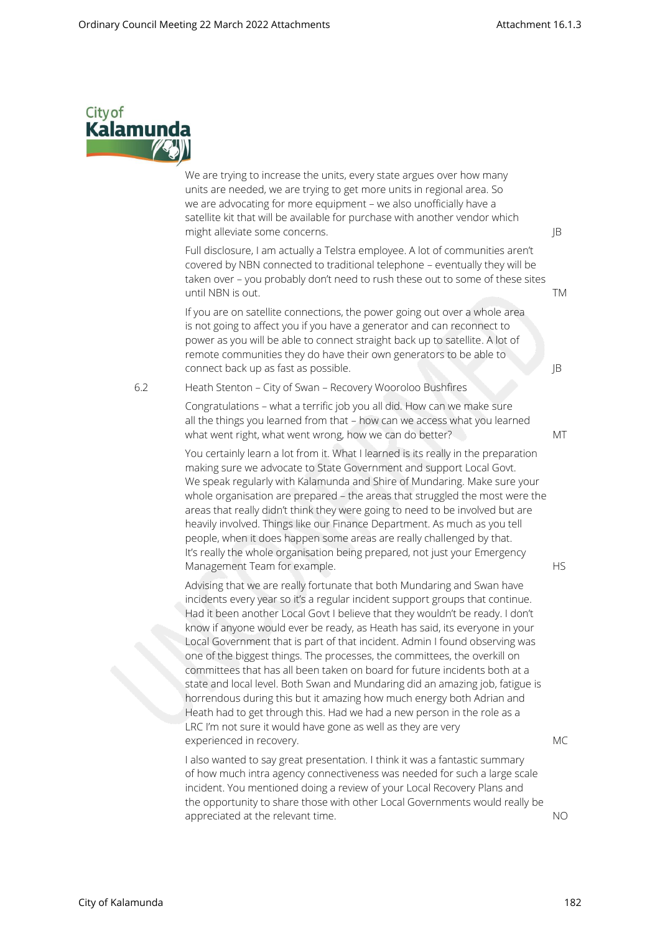

We are trying to increase the units, every state argues over how many units are needed, we are trying to get more units in regional area. So we are advocating for more equipment – we also unofficially have a satellite kit that will be available for purchase with another vendor which might alleviate some concerns. JB

Full disclosure, I am actually a Telstra employee. A lot of communities aren't covered by NBN connected to traditional telephone – eventually they will be taken over – you probably don't need to rush these out to some of these sites until NBN is out. TM

If you are on satellite connections, the power going out over a whole area is not going to affect you if you have a generator and can reconnect to power as you will be able to connect straight back up to satellite. A lot of remote communities they do have their own generators to be able to connect back up as fast as possible. JB

6.2 Heath Stenton – City of Swan – Recovery Wooroloo Bushfires

Congratulations – what a terrific job you all did. How can we make sure all the things you learned from that – how can we access what you learned what went right, what went wrong, how we can do better? MT

You certainly learn a lot from it. What I learned is its really in the preparation making sure we advocate to State Government and support Local Govt. We speak regularly with Kalamunda and Shire of Mundaring. Make sure your whole organisation are prepared – the areas that struggled the most were the areas that really didn't think they were going to need to be involved but are heavily involved. Things like our Finance Department. As much as you tell people, when it does happen some areas are really challenged by that. It's really the whole organisation being prepared, not just your Emergency Management Team for example. The state of the state of the HS

Advising that we are really fortunate that both Mundaring and Swan have incidents every year so it's a regular incident support groups that continue. Had it been another Local Govt I believe that they wouldn't be ready. I don't know if anyone would ever be ready, as Heath has said, its everyone in your Local Government that is part of that incident. Admin I found observing was one of the biggest things. The processes, the committees, the overkill on committees that has all been taken on board for future incidents both at a state and local level. Both Swan and Mundaring did an amazing job, fatigue is horrendous during this but it amazing how much energy both Adrian and Heath had to get through this. Had we had a new person in the role as a LRC I'm not sure it would have gone as well as they are very experienced in recovery. MC

I also wanted to say great presentation. I think it was a fantastic summary of how much intra agency connectiveness was needed for such a large scale incident. You mentioned doing a review of your Local Recovery Plans and the opportunity to share those with other Local Governments would really be appreciated at the relevant time. No was appreciated at the relevant time.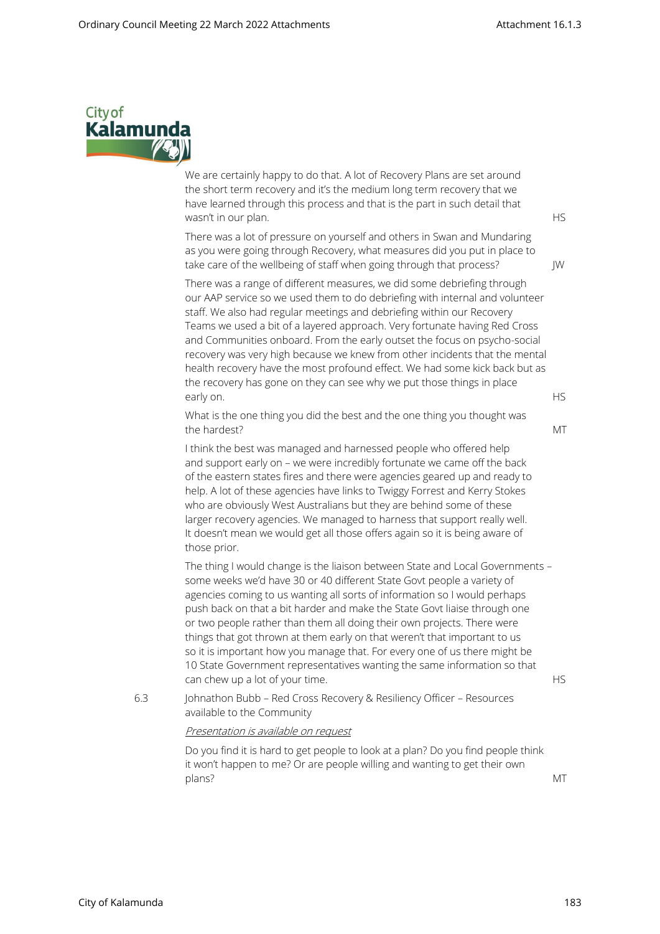

We are certainly happy to do that. A lot of Recovery Plans are set around the short term recovery and it's the medium long term recovery that we have learned through this process and that is the part in such detail that wasn't in our plan. HS

There was a lot of pressure on yourself and others in Swan and Mundaring as you were going through Recovery, what measures did you put in place to take care of the wellbeing of staff when going through that process? JW

There was a range of different measures, we did some debriefing through our AAP service so we used them to do debriefing with internal and volunteer staff. We also had regular meetings and debriefing within our Recovery Teams we used a bit of a layered approach. Very fortunate having Red Cross and Communities onboard. From the early outset the focus on psycho-social recovery was very high because we knew from other incidents that the mental health recovery have the most profound effect. We had some kick back but as the recovery has gone on they can see why we put those things in place early on. HS and the contract of the contract of the contract of the contract of the contract of the contract of the contract of the contract of the contract of the contract of the contract of the contract of the contract

What is the one thing you did the best and the one thing you thought was the hardest? MT

I think the best was managed and harnessed people who offered help and support early on – we were incredibly fortunate we came off the back of the eastern states fires and there were agencies geared up and ready to help. A lot of these agencies have links to Twiggy Forrest and Kerry Stokes who are obviously West Australians but they are behind some of these larger recovery agencies. We managed to harness that support really well. It doesn't mean we would get all those offers again so it is being aware of those prior.

The thing I would change is the liaison between State and Local Governments – some weeks we'd have 30 or 40 different State Govt people a variety of agencies coming to us wanting all sorts of information so I would perhaps push back on that a bit harder and make the State Govt liaise through one or two people rather than them all doing their own projects. There were things that got thrown at them early on that weren't that important to us so it is important how you manage that. For every one of us there might be 10 State Government representatives wanting the same information so that can chew up a lot of your time. HS

6.3 Johnathon Bubb – Red Cross Recovery & Resiliency Officer – Resources available to the Community

#### Presentation is available on request

Do you find it is hard to get people to look at a plan? Do you find people think it won't happen to me? Or are people willing and wanting to get their own plans? MT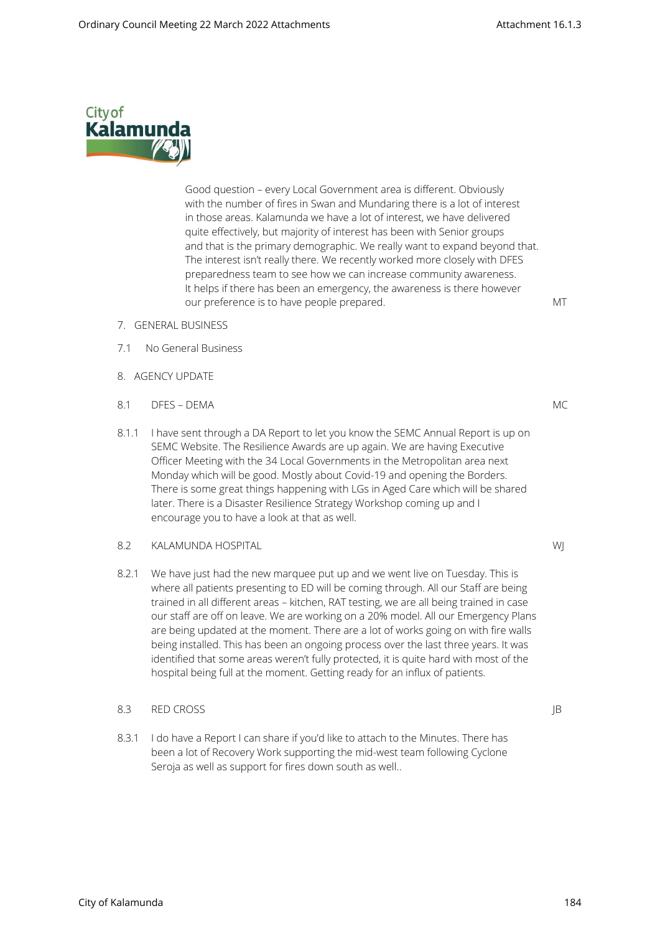

Good question – every Local Government area is different. Obviously with the number of fires in Swan and Mundaring there is a lot of interest in those areas. Kalamunda we have a lot of interest, we have delivered quite effectively, but majority of interest has been with Senior groups and that is the primary demographic. We really want to expand beyond that. The interest isn't really there. We recently worked more closely with DFES preparedness team to see how we can increase community awareness. It helps if there has been an emergency, the awareness is there however our preference is to have people prepared. MT

- 7. GENERAL BUSINESS
- 7.1 No General Business
- 8. AGENCY UPDATE
- 8.1 DFES DEMA MC
- 8.1.1 I have sent through a DA Report to let you know the SEMC Annual Report is up on SEMC Website. The Resilience Awards are up again. We are having Executive Officer Meeting with the 34 Local Governments in the Metropolitan area next Monday which will be good. Mostly about Covid-19 and opening the Borders. There is some great things happening with LGs in Aged Care which will be shared later. There is a Disaster Resilience Strategy Workshop coming up and I encourage you to have a look at that as well.

#### 8.2 KALAMUNDA HOSPITAL WJ

8.2.1 We have just had the new marquee put up and we went live on Tuesday. This is where all patients presenting to ED will be coming through. All our Staff are being trained in all different areas – kitchen, RAT testing, we are all being trained in case our staff are off on leave. We are working on a 20% model. All our Emergency Plans are being updated at the moment. There are a lot of works going on with fire walls being installed. This has been an ongoing process over the last three years. It was identified that some areas weren't fully protected, it is quite hard with most of the hospital being full at the moment. Getting ready for an influx of patients.

### 8.3 RED CROSS **IB**

8.3.1 I do have a Report I can share if you'd like to attach to the Minutes. There has been a lot of Recovery Work supporting the mid-west team following Cyclone Seroja as well as support for fires down south as well..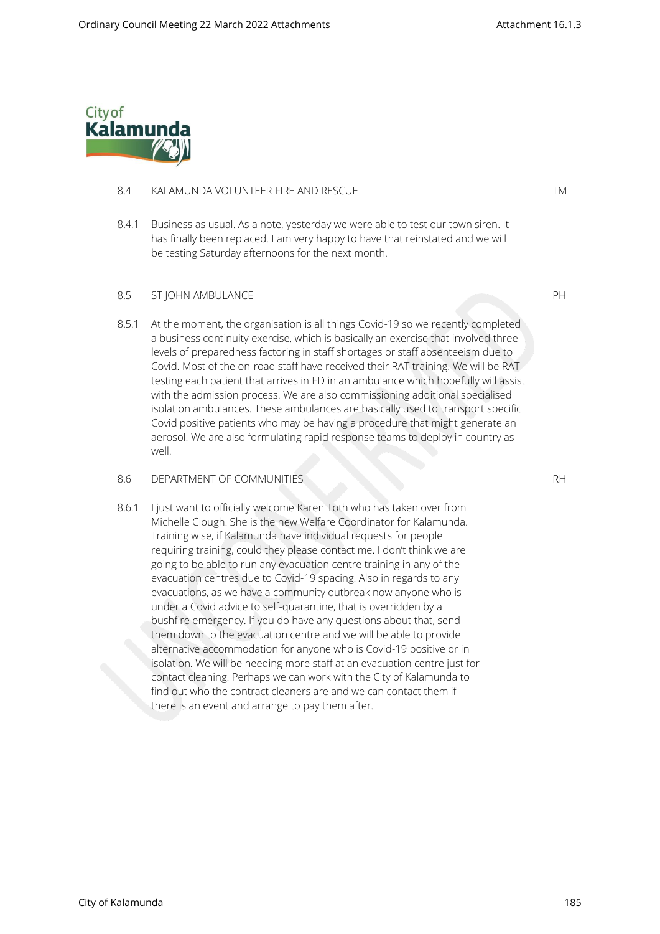

#### 8.4 KALAMUNDA VOLUNTEER FIRE AND RESCUE TM

8.4.1 Business as usual. As a note, yesterday we were able to test our town siren. It has finally been replaced. I am very happy to have that reinstated and we will be testing Saturday afternoons for the next month.

#### 8.5 ST JOHN AMBULANCE PH

8.5.1 At the moment, the organisation is all things Covid-19 so we recently completed a business continuity exercise, which is basically an exercise that involved three levels of preparedness factoring in staff shortages or staff absenteeism due to Covid. Most of the on-road staff have received their RAT training. We will be RAT testing each patient that arrives in ED in an ambulance which hopefully will assist with the admission process. We are also commissioning additional specialised isolation ambulances. These ambulances are basically used to transport specific Covid positive patients who may be having a procedure that might generate an aerosol. We are also formulating rapid response teams to deploy in country as well.

#### 8.6 DEPARTMENT OF COMMUNITIES RH

8.6.1 I just want to officially welcome Karen Toth who has taken over from Michelle Clough. She is the new Welfare Coordinator for Kalamunda. Training wise, if Kalamunda have individual requests for people requiring training, could they please contact me. I don't think we are going to be able to run any evacuation centre training in any of the evacuation centres due to Covid-19 spacing. Also in regards to any evacuations, as we have a community outbreak now anyone who is under a Covid advice to self-quarantine, that is overridden by a bushfire emergency. If you do have any questions about that, send them down to the evacuation centre and we will be able to provide alternative accommodation for anyone who is Covid-19 positive or in isolation. We will be needing more staff at an evacuation centre just for contact cleaning. Perhaps we can work with the City of Kalamunda to find out who the contract cleaners are and we can contact them if there is an event and arrange to pay them after.